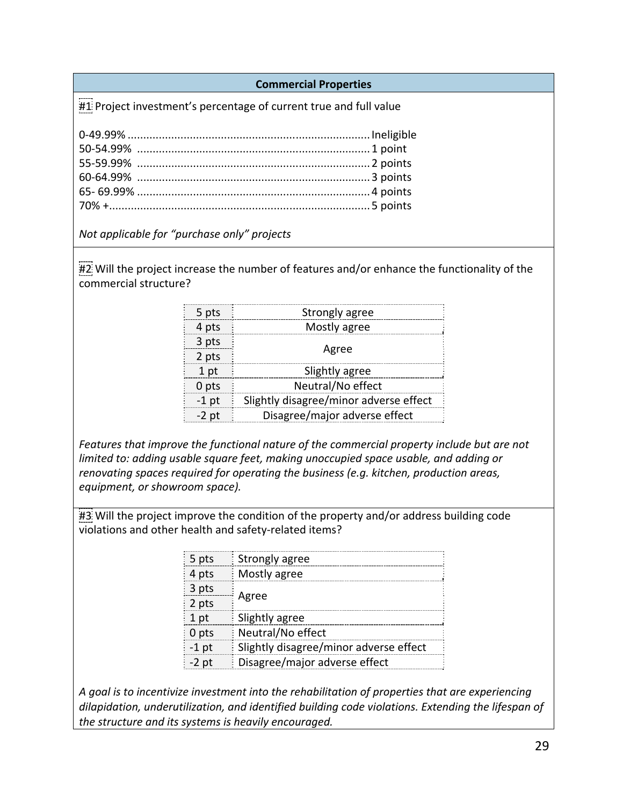**Commercial Properties** 

#1 Project investment's percentage of current true and full value

*Not applicable for "purchase only" projects* 

#2 Will the project increase the number of features and/or enhance the functionality of the commercial structure?

|                                                                                 |                | points 5 ……….                                                                   |  |
|---------------------------------------------------------------------------------|----------------|---------------------------------------------------------------------------------|--|
| licable for "purchase only" projects                                            |                |                                                                                 |  |
|                                                                                 |                |                                                                                 |  |
|                                                                                 |                | the project increase the number of features and/or enhance the functionality o  |  |
| rcial structure?                                                                |                |                                                                                 |  |
|                                                                                 |                |                                                                                 |  |
|                                                                                 | 5 pts          | <b>Strongly agree</b>                                                           |  |
|                                                                                 | 4 pts          | Mostly agree                                                                    |  |
|                                                                                 | 3 pts          | Agree                                                                           |  |
|                                                                                 | 2 pts          |                                                                                 |  |
|                                                                                 | 1 pt           | Slightly agree                                                                  |  |
|                                                                                 | 0 pts          | Neutral/No effect                                                               |  |
|                                                                                 | $-1$ pt        | Slightly disagree/minor adverse effect                                          |  |
|                                                                                 | $-2$ pt        | Disagree/major adverse effect                                                   |  |
|                                                                                 |                |                                                                                 |  |
| s that improve the functional nature of the commercial property include but are |                |                                                                                 |  |
| to: adding usable square feet, making unoccupied space usable, and adding or    |                |                                                                                 |  |
|                                                                                 |                | ing spaces required for operating the business (e.g. kitchen, production areas, |  |
| ent, or showroom space).                                                        |                |                                                                                 |  |
|                                                                                 |                |                                                                                 |  |
|                                                                                 |                | the project improve the condition of the property and/or address building code  |  |
|                                                                                 |                | is and other health and safety-related items?                                   |  |
|                                                                                 |                |                                                                                 |  |
|                                                                                 | 5 pts          | Strongly agree                                                                  |  |
|                                                                                 | 4 pts<br>3 nts | Mostly agree                                                                    |  |
|                                                                                 |                |                                                                                 |  |

*Features that improve the functional nature of the commercial property include but are not limited to: adding usable square feet, making unoccupied space usable, and adding or renovating spaces required for operating the business (e.g. kitchen, production areas, equipment, or showroom space).* 

#3 Will the project improve the condition of the property and/or address building code violations and other health and safety‐related items?

| $\frac{1}{2}$ 5 pts | Strongly agree                         |  |
|---------------------|----------------------------------------|--|
| 4 pts               | Mostly agree                           |  |
| $3$ pts             | Agree                                  |  |
| $\frac{1}{2}$ 2 pts |                                        |  |
| 1 pt                | Slightly agree                         |  |
| $\frac{1}{2}$ 0 pts | Neutral/No effect                      |  |
| $-1$ pt             | Slightly disagree/minor adverse effect |  |
| $-2$ pt             | Disagree/major adverse effect          |  |
|                     |                                        |  |

*A goal is to incentivize investment into the rehabilitation of properties that are experiencing dilapidation, underutilization, and identified building code violations. Extending the lifespan of the structure and its systems is heavily encouraged.*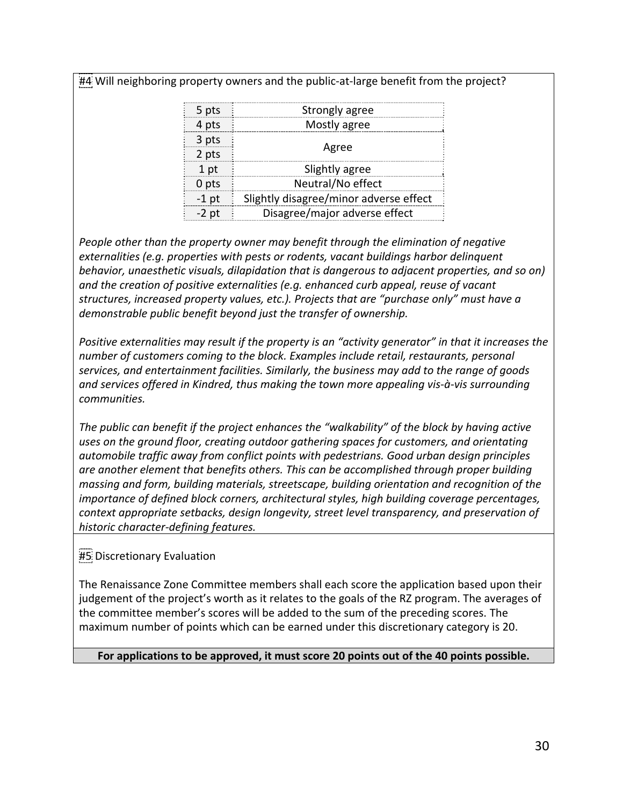#4 Will neighboring property owners and the public-at-large benefit from the project?

| 5 pts           | Strongly agree                         |  |
|-----------------|----------------------------------------|--|
| 4 pts           | Mostly agree                           |  |
| 3 pts           | Agree                                  |  |
| 2 pts           |                                        |  |
| 1 <sub>pt</sub> | Slightly agree                         |  |
| 0 pts           | Neutral/No effect                      |  |
| $-1$ pt         | Slightly disagree/minor adverse effect |  |
| $-2$ pt         | Disagree/major adverse effect          |  |
|                 |                                        |  |

*People other than the property owner may benefit through the elimination of negative externalities (e.g. properties with pests or rodents, vacant buildings harbor delinquent behavior, unaesthetic visuals, dilapidation that is dangerous to adjacent properties, and so on) and the creation of positive externalities (e.g. enhanced curb appeal, reuse of vacant structures, increased property values, etc.). Projects that are "purchase only" must have a demonstrable public benefit beyond just the transfer of ownership.* 

*Positive externalities may result if the property is an "activity generator" in that it increases the number of customers coming to the block. Examples include retail, restaurants, personal services, and entertainment facilities. Similarly, the business may add to the range of goods and services offered in Kindred, thus making the town more appealing vis‐à‐vis surrounding communities.* 

*The public can benefit if the project enhances the "walkability" of the block by having active uses on the ground floor, creating outdoor gathering spaces for customers, and orientating automobile traffic away from conflict points with pedestrians. Good urban design principles are another element that benefits others. This can be accomplished through proper building massing and form, building materials, streetscape, building orientation and recognition of the importance of defined block corners, architectural styles, high building coverage percentages, context appropriate setbacks, design longevity, street level transparency, and preservation of historic character‐defining features.*   $\begin{array}{|l|l|} \hline \rule{0pt}{20pt} \hline \rule{0pt}{20pt} \hline \rule{0pt}{20pt} \hline \rule{0pt}{20pt} \hline \rule{0pt}{20pt} \hline \rule{0pt}{20pt} \hline \rule{0pt}{20pt} \hline \rule{0pt}{20pt} \hline \rule{0pt}{20pt} \hline \rule{0pt}{20pt} \hline \rule{0pt}{20pt} \hline \rule{0pt}{20pt} \hline \rule{0pt}{20pt} \hline \rule{0pt}{20pt} \hline \rule{0pt}{20pt} \hline \rule{0pt}{20pt} \$ 

### #5 Discretionary Evaluation

The Renaissance Zone Committee members shall each score the application based upon their judgement of the project's worth as it relates to the goals of the RZ program. The averages of the committee member's scores will be added to the sum of the preceding scores. The maximum number of points which can be earned under this discretionary category is 20.

**For applications to be approved, it must score 20 points out of the 40 points possible.**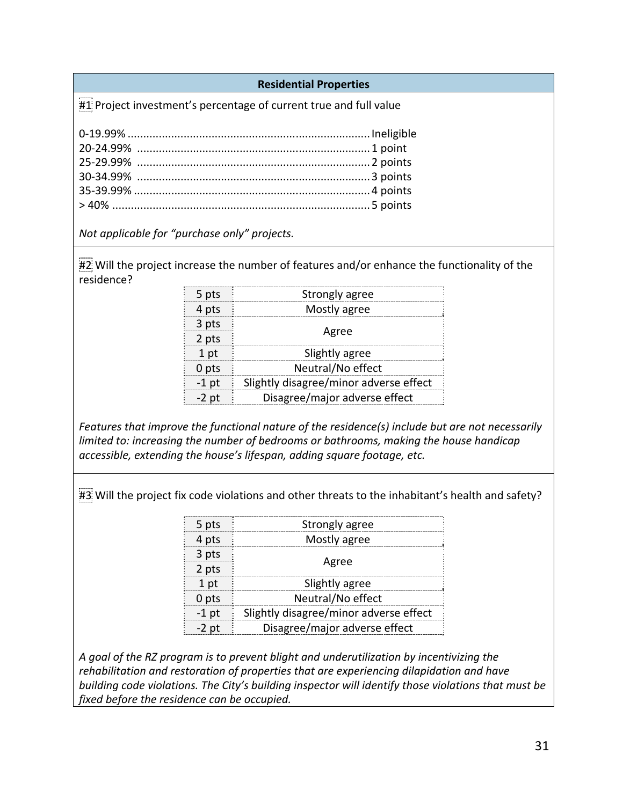#### **Residential Properties**

#1 Project investment's percentage of current true and full value

*Not applicable for "purchase only" projects.* 

#2 Will the project increase the number of features and/or enhance the functionality of the residence?

| points                                                                           |         |                                                                                  |  |
|----------------------------------------------------------------------------------|---------|----------------------------------------------------------------------------------|--|
| licable for "purchase only" projects.                                            |         |                                                                                  |  |
|                                                                                  |         |                                                                                  |  |
|                                                                                  |         | the project increase the number of features and/or enhance the functionality o   |  |
| 2e?                                                                              |         |                                                                                  |  |
|                                                                                  | 5 pts   | <b>Strongly agree</b>                                                            |  |
|                                                                                  | 4 pts   | Mostly agree                                                                     |  |
|                                                                                  | 3 pts   |                                                                                  |  |
|                                                                                  | 2 pts   | Agree                                                                            |  |
|                                                                                  | 1 pt    | Slightly agree                                                                   |  |
|                                                                                  | 0 pts   | Neutral/No effect                                                                |  |
|                                                                                  | $-1$ pt | Slightly disagree/minor adverse effect                                           |  |
|                                                                                  | $-2$ pt | Disagree/major adverse effect                                                    |  |
|                                                                                  |         |                                                                                  |  |
|                                                                                  |         | s that improve the functional nature of the residence(s) include but are not nec |  |
|                                                                                  |         | to: increasing the number of bedrooms or bathrooms, making the house handic      |  |
|                                                                                  |         | lle, extending the house's lifespan, adding square footage, etc.                 |  |
|                                                                                  |         |                                                                                  |  |
|                                                                                  |         |                                                                                  |  |
| the project fix code violations and other threats to the inhabitant's health and |         |                                                                                  |  |
|                                                                                  |         |                                                                                  |  |
|                                                                                  | 5 pts   | Strongly agree                                                                   |  |
|                                                                                  | 4 pts   | Mostly agree                                                                     |  |
|                                                                                  | 3 pts   | Agree                                                                            |  |
|                                                                                  | $2$ pts |                                                                                  |  |
|                                                                                  | 1 pt    | Slightly agree                                                                   |  |

*Features that improve the functional nature of the residence(s) include but are not necessarily limited to: increasing the number of bedrooms or bathrooms, making the house handicap accessible, extending the house's lifespan, adding square footage, etc.*

 $\#3$  Will the project fix code violations and other threats to the inhabitant's health and safety?

|  | 5 pts           | Strongly agree                         |  |  |
|--|-----------------|----------------------------------------|--|--|
|  | 4 pts           | Mostly agree                           |  |  |
|  | 3 pts           |                                        |  |  |
|  | 2 pts           | Agree                                  |  |  |
|  | 1 <sub>pt</sub> | Slightly agree                         |  |  |
|  | 0 pts           | Neutral/No effect                      |  |  |
|  | $-1$ pt         | Slightly disagree/minor adverse effect |  |  |
|  | $-2$ pt         | Disagree/major adverse effect          |  |  |
|  |                 |                                        |  |  |

*A goal of the RZ program is to prevent blight and underutilization by incentivizing the rehabilitation and restoration of properties that are experiencing dilapidation and have building code violations. The City's building inspector will identify those violations that must be fixed before the residence can be occupied.*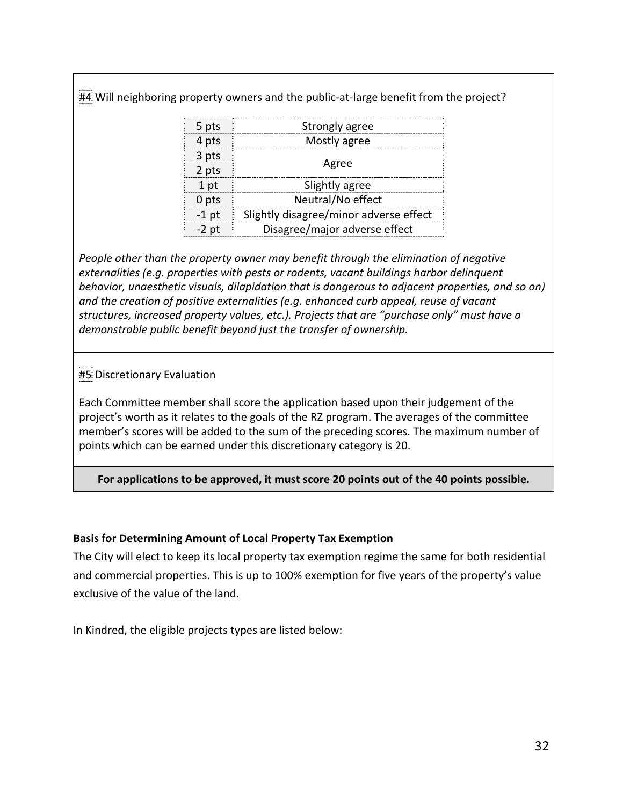#4 Will neighboring property owners and the public-at-large benefit from the project?

| 5 pts   | Strongly agree                         |  |
|---------|----------------------------------------|--|
| 4 pts   | Mostly agree                           |  |
| 3 pts   | Agree                                  |  |
| 2 pts   |                                        |  |
| 1 pt    | Slightly agree                         |  |
| 0 pts   | Neutral/No effect                      |  |
| $-1$ pt | Slightly disagree/minor adverse effect |  |
| $-2$ pt | Disagree/major adverse effect          |  |
|         |                                        |  |

*People other than the property owner may benefit through the elimination of negative externalities (e.g. properties with pests or rodents, vacant buildings harbor delinquent behavior, unaesthetic visuals, dilapidation that is dangerous to adjacent properties, and so on) and the creation of positive externalities (e.g. enhanced curb appeal, reuse of vacant structures, increased property values, etc.). Projects that are "purchase only" must have a demonstrable public benefit beyond just the transfer of ownership.*  The slightly disagree/minor adverse effect<br>
2 pt Disagree/major adverse effect<br>
2 pt Disagree/major adverse effect<br>
2 pt Disagree/major adverse effect<br>
2 pt Disagree/major adverse effect<br>
2 pt Disagree/major adverse effect

# #5 Discretionary Evaluation

Each Committee member shall score the application based upon their judgement of the project's worth as it relates to the goals of the RZ program. The averages of the committee member's scores will be added to the sum of the preceding scores. The maximum number of points which can be earned under this discretionary category is 20.

**For applications to be approved, it must score 20 points out of the 40 points possible.** 

### **Basis for Determining Amount of Local Property Tax Exemption**

The City will elect to keep its local property tax exemption regime the same for both residential and commercial properties. This is up to 100% exemption for five years of the property's value exclusive of the value of the land.

In Kindred, the eligible projects types are listed below: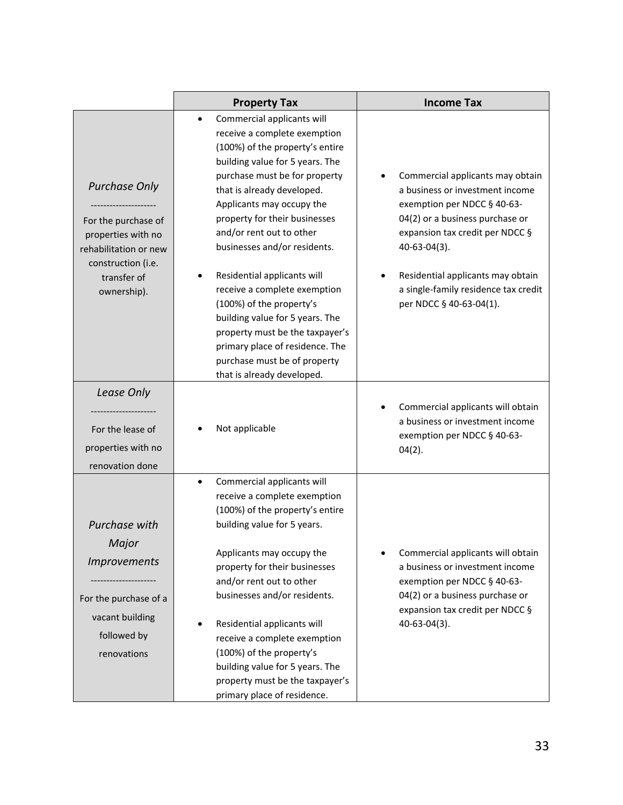|                                                                                                                                                | <b>Property Tax</b>                                                                                                                                                                                                                                                                                                                                                                                                                                                                                                                                                                                      | <b>Income Tax</b>                                                                                                                                                                                                                                                                                |
|------------------------------------------------------------------------------------------------------------------------------------------------|----------------------------------------------------------------------------------------------------------------------------------------------------------------------------------------------------------------------------------------------------------------------------------------------------------------------------------------------------------------------------------------------------------------------------------------------------------------------------------------------------------------------------------------------------------------------------------------------------------|--------------------------------------------------------------------------------------------------------------------------------------------------------------------------------------------------------------------------------------------------------------------------------------------------|
| <b>Purchase Only</b><br>For the purchase of<br>properties with no<br>rehabilitation or new<br>construction (i.e.<br>transfer of<br>ownership). | Commercial applicants will<br>$\bullet$<br>receive a complete exemption<br>(100%) of the property's entire<br>building value for 5 years. The<br>purchase must be for property<br>that is already developed.<br>Applicants may occupy the<br>property for their businesses<br>and/or rent out to other<br>businesses and/or residents.<br>Residential applicants will<br>receive a complete exemption<br>(100%) of the property's<br>building value for 5 years. The<br>property must be the taxpayer's<br>primary place of residence. The<br>purchase must be of property<br>that is already developed. | Commercial applicants may obtain<br>a business or investment income<br>exemption per NDCC § 40-63-<br>04(2) or a business purchase or<br>expansion tax credit per NDCC §<br>40-63-04(3).<br>Residential applicants may obtain<br>a single-family residence tax credit<br>per NDCC § 40-63-04(1). |
| Lease Only                                                                                                                                     |                                                                                                                                                                                                                                                                                                                                                                                                                                                                                                                                                                                                          | Commercial applicants will obtain                                                                                                                                                                                                                                                                |
| For the lease of                                                                                                                               | Not applicable                                                                                                                                                                                                                                                                                                                                                                                                                                                                                                                                                                                           | a business or investment income                                                                                                                                                                                                                                                                  |
| properties with no                                                                                                                             |                                                                                                                                                                                                                                                                                                                                                                                                                                                                                                                                                                                                          | exemption per NDCC § 40-63-<br>04(2).                                                                                                                                                                                                                                                            |
| renovation done                                                                                                                                |                                                                                                                                                                                                                                                                                                                                                                                                                                                                                                                                                                                                          |                                                                                                                                                                                                                                                                                                  |
| Purchase with<br>Major<br><i>Improvements</i><br>For the purchase of a<br>vacant building<br>followed by<br>renovations                        | Commercial applicants will<br>receive a complete exemption<br>(100%) of the property's entire<br>building value for 5 years.<br>Applicants may occupy the<br>property for their businesses<br>and/or rent out to other<br>businesses and/or residents.<br>Residential applicants will<br>receive a complete exemption<br>(100%) of the property's<br>building value for 5 years. The<br>property must be the taxpayer's                                                                                                                                                                                  | Commercial applicants will obtain<br>a business or investment income<br>exemption per NDCC § 40-63-<br>04(2) or a business purchase or<br>expansion tax credit per NDCC §<br>40-63-04(3).                                                                                                        |
|                                                                                                                                                | primary place of residence.                                                                                                                                                                                                                                                                                                                                                                                                                                                                                                                                                                              |                                                                                                                                                                                                                                                                                                  |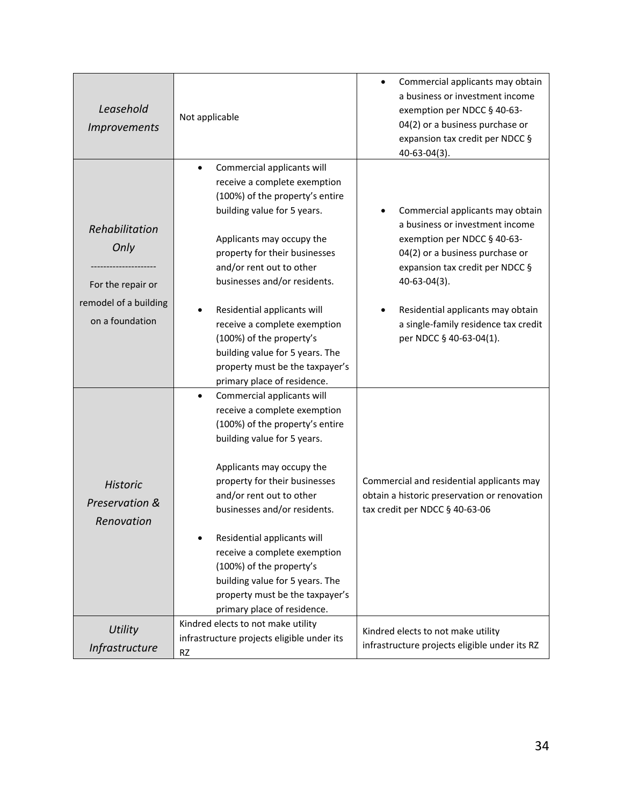| Leasehold<br><i>Improvements</i>                                                        | Not applicable                                                                                                                                                                                                                                                                                                                                                                                                                                         | Commercial applicants may obtain<br>a business or investment income<br>exemption per NDCC § 40-63-<br>04(2) or a business purchase or<br>expansion tax credit per NDCC §<br>40-63-04(3).                                                                                                                |
|-----------------------------------------------------------------------------------------|--------------------------------------------------------------------------------------------------------------------------------------------------------------------------------------------------------------------------------------------------------------------------------------------------------------------------------------------------------------------------------------------------------------------------------------------------------|---------------------------------------------------------------------------------------------------------------------------------------------------------------------------------------------------------------------------------------------------------------------------------------------------------|
| Rehabilitation<br>Only<br>For the repair or<br>remodel of a building<br>on a foundation | Commercial applicants will<br>receive a complete exemption<br>(100%) of the property's entire<br>building value for 5 years.<br>Applicants may occupy the<br>property for their businesses<br>and/or rent out to other<br>businesses and/or residents.<br>Residential applicants will<br>receive a complete exemption<br>(100%) of the property's<br>building value for 5 years. The<br>property must be the taxpayer's<br>primary place of residence. | Commercial applicants may obtain<br>a business or investment income<br>exemption per NDCC § 40-63-<br>04(2) or a business purchase or<br>expansion tax credit per NDCC §<br>$40 - 63 - 04(3)$ .<br>Residential applicants may obtain<br>a single-family residence tax credit<br>per NDCC § 40-63-04(1). |
| <b>Historic</b><br>Preservation &<br>Renovation                                         | Commercial applicants will<br>receive a complete exemption<br>(100%) of the property's entire<br>building value for 5 years.<br>Applicants may occupy the<br>property for their businesses<br>and/or rent out to other<br>businesses and/or residents.<br>Residential applicants will<br>receive a complete exemption<br>(100%) of the property's<br>building value for 5 years. The<br>property must be the taxpayer's<br>primary place of residence. | Commercial and residential applicants may<br>obtain a historic preservation or renovation<br>tax credit per NDCC § 40-63-06                                                                                                                                                                             |
| <b>Utility</b><br>Infrastructure                                                        | Kindred elects to not make utility<br>infrastructure projects eligible under its<br><b>RZ</b>                                                                                                                                                                                                                                                                                                                                                          | Kindred elects to not make utility<br>infrastructure projects eligible under its RZ                                                                                                                                                                                                                     |